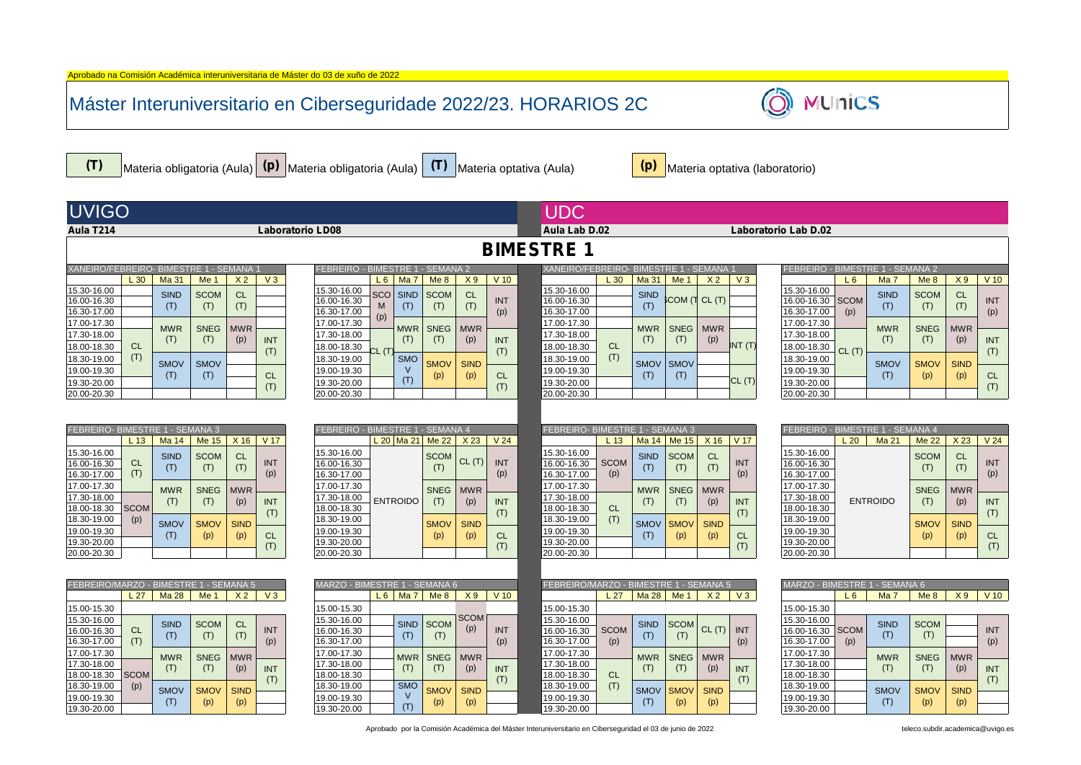|                                         |                  |                    |                    |                   |                   | Máster Interuniversitario en Ciberseguridade 2022/23. HORARIOS 2C                     |                                       |                    |                    |                   |                                         |                  |                    |                    |                   |                   | <b>MUnics</b>                              |                    |                    |                    |                   |
|-----------------------------------------|------------------|--------------------|--------------------|-------------------|-------------------|---------------------------------------------------------------------------------------|---------------------------------------|--------------------|--------------------|-------------------|-----------------------------------------|------------------|--------------------|--------------------|-------------------|-------------------|--------------------------------------------|--------------------|--------------------|--------------------|-------------------|
| (T)                                     |                  |                    |                    |                   |                   | Materia obligatoria (Aula) (P) Materia obligatoria (Aula) (T) Materia optativa (Aula) |                                       |                    |                    |                   |                                         |                  | (p)                |                    |                   |                   | Materia optativa (laboratorio)             |                    |                    |                    |                   |
| <b>UVIGO</b>                            |                  |                    |                    |                   |                   |                                                                                       |                                       |                    |                    |                   | <b>UDC</b>                              |                  |                    |                    |                   |                   |                                            |                    |                    |                    |                   |
| Aula T214                               |                  |                    |                    |                   |                   | Laboratorio LD08                                                                      |                                       |                    |                    |                   | Aula Lab D.02                           |                  |                    |                    |                   |                   | Laboratorio Lab D.02                       |                    |                    |                    |                   |
|                                         |                  |                    |                    |                   |                   |                                                                                       |                                       |                    |                    |                   | <b>BIMESTRE 1</b>                       |                  |                    |                    |                   |                   |                                            |                    |                    |                    |                   |
| XANEIRO/FEBREIRO- BIMESTRE 1 - SEMANA 1 |                  |                    |                    |                   |                   | FEBREIRO - BIMESTRE 1                                                                 |                                       | - SEMANA 2         |                    |                   | XANEIRO/FEBREIRO- BIMESTRE 1 - SEMANA 1 |                  |                    |                    |                   |                   | FEBREIRO - BIMESTRE 1 - SEMANA 2           |                    |                    |                    |                   |
|                                         | L30              | Ma 31              | Me <sub>1</sub>    | X <sub>2</sub>    | V3                |                                                                                       | L6<br>Ma <sub>7</sub>                 | Me <sub>8</sub>    | X9                 | $V$ 10            |                                         | $L_{30}$         | Ma 31              | Me 1               | X <sub>2</sub>    | $V_3$             | L6                                         | Ma <sub>7</sub>    | Me <sub>8</sub>    | X9                 | $V$ 10            |
| 15.30-16.00<br>16.00-16.30              |                  | <b>SIND</b><br>(T) | <b>SCOM</b><br>(T) | <b>CL</b><br>(T)  |                   | 15.30-16.00<br>16.00-16.30                                                            | <b>SCO</b><br><b>SIND</b><br>(T)<br>M | <b>SCOM</b><br>(T) | <b>CL</b><br>(T)   | <b>INT</b>        | 15.30-16.00<br>16.00-16.30              |                  | <b>SIND</b><br>(T) | SCOM (T CL (T)     |                   |                   | 15.30-16.00<br><b>SCOM</b><br>16.00-16.30  | <b>SIND</b><br>(T) | <b>SCOM</b><br>(T) | <b>CL</b><br>(T)   | <b>INT</b>        |
| 16.30-17.00<br>17.00-17.30              |                  |                    |                    |                   |                   | 16.30-17.00<br>17.00-17.30                                                            | (p)                                   |                    |                    | (p)               | 16.30-17.00<br>17.00-17.30              |                  |                    |                    |                   |                   | 16.30-17.00<br>(p)<br>17.00-17.30          |                    |                    |                    | (p)               |
| 17.30-18.00                             |                  | <b>MWR</b><br>(T)  | <b>SNEG</b><br>(T) | <b>MWR</b><br>(p) | <b>INT</b>        | 17.30-18.00                                                                           | <b>MWR</b><br>(T)                     | <b>SNEG</b><br>(T) | <b>MWR</b><br>(p)  | <b>INT</b>        | 17.30-18.00                             |                  | <b>MWR</b><br>(T)  | <b>SNEG</b><br>(T) | <b>MWR</b><br>(p) |                   | 17.30-18.00                                | <b>MWR</b><br>(T)  | <b>SNEG</b><br>(T) | <b>MWR</b><br>(p)  | <b>INT</b>        |
| 18.00-18.30<br>18.30-19.00              | <b>CL</b><br>(T) |                    |                    |                   | (T)               | 18.00-18.30<br>18.30-19.00                                                            | ንL (T<br><b>SMO</b>                   |                    |                    | (T)               | 18.00-18.30<br>18.30-19.00              | <b>CL</b><br>(T) |                    |                    |                   | INT <sub>(T</sub> | 18.00-18.30<br>CL(T)<br>18.30-19.00        |                    |                    |                    | (T)               |
| 19.00-19.30                             |                  | <b>SMOV</b><br>(T) | <b>SMOV</b><br>(T) |                   | <b>CL</b>         | 19.00-19.30                                                                           | V                                     | <b>SMOV</b><br>(p) | <b>SIND</b><br>(p) | <b>CL</b>         | 19.00-19.30                             |                  | <b>SMOV</b><br>(T) | <b>SMOV</b><br>(T) |                   |                   | 19.00-19.30                                | <b>SMOV</b><br>(T) | <b>SMOV</b><br>(p) | <b>SIND</b><br>(p) | <b>CL</b>         |
| 19.30-20.00<br>20.00-20.30              |                  |                    |                    |                   | (T)               | 19.30-20.00<br>20.00-20.30                                                            | (T)                                   |                    |                    | (T)               | 19.30-20.00<br>20.00-20.30              |                  |                    |                    |                   | CL(T)             | 19.30-20.00<br>20.00-20.30                 |                    |                    |                    | (T)               |
|                                         |                  |                    |                    |                   |                   |                                                                                       |                                       |                    |                    |                   |                                         |                  |                    |                    |                   |                   |                                            |                    |                    |                    |                   |
|                                         |                  |                    |                    |                   |                   |                                                                                       |                                       |                    |                    |                   |                                         |                  |                    |                    |                   |                   |                                            |                    |                    |                    |                   |
| FEBREIRO- BIMESTRE 1 - SEMANA 3         | L <sub>13</sub>  | Ma 14              | Me 15              | X 16              | V 17              | FEBREIRO - BIMESTRE 1 - SEMANA 4                                                      | $L$ 20 Ma 21                          | Me 22              | X <sub>23</sub>    | V <sub>24</sub>   | FEBREIRO- BIMESTRE 1 - SEMANA 3         | L <sub>13</sub>  |                    | Ma $14$ Me $15$    | X 16              | V 17              | FEBREIRO - BIMESTRE 1 - SEMANA 4<br>L20    | Ma 21              | Me 22              | X <sub>23</sub>    | V <sub>24</sub>   |
| 15.30-16.00                             | <b>CL</b>        | <b>SIND</b>        | <b>SCOM</b>        | <b>CL</b>         | <b>INT</b>        | 15.30-16.00                                                                           |                                       | <b>SCOM</b>        | CL(T)              | INT               | 15.30-16.00                             | <b>SCOM</b>      | <b>SIND</b>        | <b>SCOM</b>        | <b>CL</b>         | <b>INT</b>        | 15.30-16.00                                |                    | <b>SCOM</b>        | <b>CL</b>          | <b>INT</b>        |
| 16.00-16.30<br>16.30-17.00              | (T)              | (T)                | (T)                | (T)               | (p)               | 16.00-16.30<br>16.30-17.00                                                            |                                       | (T)                |                    | (p)               | 16.00-16.30<br>16.30-17.00              | (p)              | (T)                | (T)                | (T)               | (p)               | 16.00-16.30<br>16.30-17.00                 |                    | (T)                | (T)                | (p)               |
| 17.00-17.30                             |                  | <b>MWR</b>         | <b>SNEG</b>        | <b>MWR</b>        |                   | 17.00-17.30                                                                           |                                       | <b>SNEG</b>        | <b>MWR</b>         |                   | 17.00-17.30                             |                  | <b>MWR</b>         | <b>SNEG</b>        | <b>MWR</b>        |                   | 17.00-17.30                                |                    | <b>SNEG</b>        | <b>MWR</b>         |                   |
| 17.30-18.00<br>18.00-18.30              | <b>SCOM</b>      | (T)                | (T)                | (p)               | <b>INT</b><br>(T) | 17.30-18.00<br>18.00-18.30                                                            | <b>ENTROIDO</b>                       | (T)                | (p)                | <b>INT</b><br>(T) | 17.30-18.00<br>18.00-18.30              | <b>CL</b>        | (T)                | (T)                | (p)               | <b>INT</b><br>(T) | 17.30-18.00<br>18.00-18.30                 | <b>ENTROIDO</b>    | (T)                | (p)                | <b>INT</b><br>(T) |
| 18.30-19.00                             | (p)              | <b>SMOV</b>        | <b>SMOV</b>        | <b>SIND</b>       |                   | 18.30-19.00                                                                           |                                       | <b>SMOV</b>        | <b>SIND</b>        |                   | 18.30-19.00                             | (T)              | <b>SMOV</b>        | <b>SMOV</b>        | <b>SIND</b>       |                   | 18.30-19.00                                |                    | <b>SMOV</b>        | <b>SIND</b>        |                   |
| 19.00-19.30<br>19.30-20.00              |                  | (T)                | (p)                | (p)               | <b>CL</b><br>(T)  | 19.00-19.30<br>19.30-20.00                                                            |                                       | (p)                | (p)                | <b>CL</b><br>(T)  | 19.00-19.30<br>19.30-20.00              |                  | (T)                | (p)                | (p)               | <b>CL</b><br>(T)  | 19.00-19.30<br>19.30-20.00                 |                    | (p)                | (p)                | CL<br>(T)         |
| 20.00-20.30                             |                  |                    |                    |                   |                   | 20.00-20.30                                                                           |                                       |                    |                    |                   | 20.00-20.30                             |                  |                    |                    |                   |                   | 20.00-20.30                                |                    |                    |                    |                   |
|                                         |                  |                    |                    |                   |                   |                                                                                       |                                       |                    |                    |                   |                                         |                  |                    |                    |                   |                   |                                            |                    |                    |                    |                   |
| FEBREIRO/MARZO - BIMESTRE 1 - SEMANA 5  | L <sub>27</sub>  | <b>Ma 28</b>       | Me <sub>1</sub>    | X <sub>2</sub>    | V3                | MARZO - BIMESTRE 1 - SEMANA 6                                                         | $L6$ Ma 7 Me 8                        |                    | X9                 | $V$ 10            | FEBREIRO/MARZO - BIMESTRE 1 - SEMANA 5  | L <sub>27</sub>  |                    | $Ma 28$ Me 1       | X <sub>2</sub>    | $V_3$             | <b>AARZO - BIMESTRE 1 - SEMANA 6</b><br>L6 | Ma <sub>7</sub>    | Me <sub>8</sub>    | X9                 | V <sub>10</sub>   |
| 15.00-15.30                             |                  |                    |                    |                   |                   | 15.00-15.30                                                                           |                                       |                    |                    |                   | 15.00-15.30                             |                  |                    |                    |                   |                   | 15.00-15.30                                |                    |                    |                    |                   |
| 15.30-16.00<br>16.00-16.30              | CL               | <b>SIND</b>        | <b>SCOM</b>        | <b>CL</b>         | <b>INT</b>        | 15.30-16.00<br>16.00-16.30                                                            | <b>SIND</b>                           | <b>SCOM</b>        | <b>SCOM</b><br>(p) | INT               | 15.30-16.00<br>16.00-16.30              | <b>SCOM</b>      | <b>SIND</b>        | <b>SCOM</b>        | CL(T)             | <b>INT</b>        | 15.30-16.00<br><b>SCOM</b><br>16.00-16.30  | <b>SIND</b>        | <b>SCOM</b>        |                    | <b>INT</b>        |
| 16.30-17.00                             | (T)              | (T)                | (T)                | (T)               | (p)               | 16.30-17.00                                                                           | (T)                                   | (T)                |                    | (p)               | 16.30-17.00                             | (p)              | (T)                | (T)                |                   | (p)               | 16.30-17.00<br>(p)                         | (T)                | (T)                |                    | (p)               |
| 17.00-17.30<br>17.30-18.00              |                  | <b>MWR</b>         | <b>SNEG</b>        | <b>MWR</b>        |                   | 17.00-17.30<br>17.30-18.00                                                            | <b>MWR</b>                            | <b>SNEG</b>        | <b>MWR</b>         |                   | 17.00-17.30<br>17.30-18.00              |                  | <b>MWR</b>         | <b>SNEG</b>        | <b>MWR</b>        |                   | 17.00-17.30<br>17.30-18.00                 | <b>MWR</b>         | <b>SNEG</b>        | <b>MWR</b>         |                   |
| 18.00-18.30                             | <b>SCOM</b>      | (T)                | (T)                | (p)               | <b>INT</b><br>(T) | 18.00-18.30                                                                           | (T)                                   | (T)                | (p)                | <b>INT</b><br>(T) | 18.00-18.30                             | <b>CL</b>        | (T)                | (T)                | (p)               | <b>INT</b><br>(T) | 18.00-18.30                                | (T)                | (T)                | (p)                | <b>INT</b><br>(T) |
| 18.30-19.00<br>19.00-19.30              | (p)              | <b>SMOV</b>        | <b>SMOV</b>        | <b>SIND</b>       |                   | 18.30-19.00<br>19.00-19.30                                                            | <b>SMO</b><br>V                       | <b>SMOV</b>        | <b>SIND</b>        |                   | 18.30-19.00<br>19.00-19.30              | (T)              | <b>SMOV</b>        | <b>SMOV</b>        | <b>SIND</b>       |                   | 18.30-19.00<br>19.00-19.30                 | <b>SMOV</b>        | <b>SMOV</b>        | <b>SIND</b>        |                   |
| 10.20.20.00                             |                  | (T)                | (p)                | (p)               |                   | 10.20.20.00                                                                           | (T)                                   | (p)                | (p)                |                   | 0.20.20.00                              |                  | (T)                | (p)                | (p)               |                   | 10.20.20.00                                | (T)                | (p)                | (p)                |                   |

Aprobado na Comisión Académica interuniversitaria de Máster do 03 de xuño de 2022

19.30-20.00 19.30-20.00 19.30-20.00 19.30-20.00

(T)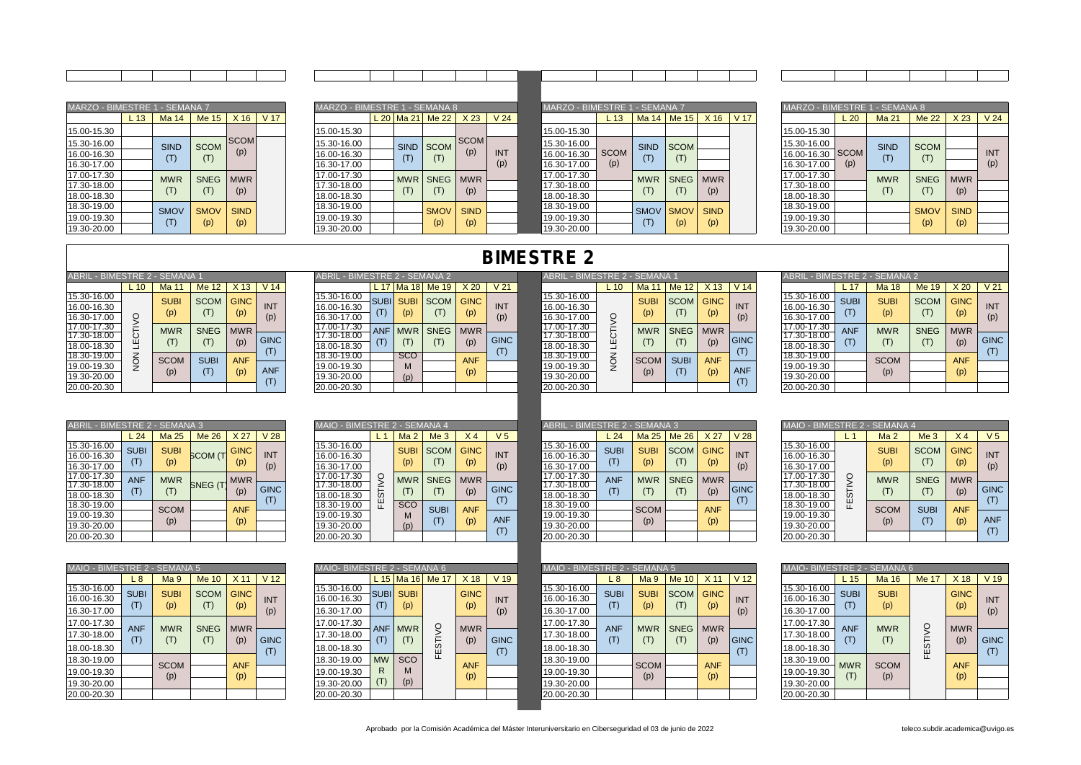| MARZO - BIMESTRE 1 - SEMANA 7 |                 |             |             |                 |      | MARZO - BIMESTRE 1 - SEMANA 8 |             |                    |                 |                 | MARZO - BIMESTRE 1 - SEMANA 7 |             |                                               |                  |             |      | MARZO - BIMESTRE 1 - SEMANA 8 |      |                |               |
|-------------------------------|-----------------|-------------|-------------|-----------------|------|-------------------------------|-------------|--------------------|-----------------|-----------------|-------------------------------|-------------|-----------------------------------------------|------------------|-------------|------|-------------------------------|------|----------------|---------------|
|                               | L <sub>13</sub> | Ma 14       | Me 15       | X <sub>16</sub> | V 17 |                               |             | $L$ 20 Ma 21 Me 22 | X <sub>23</sub> | V <sub>24</sub> |                               | $-13$       | Ma 14                                         | Me <sub>15</sub> | $X$ 16      | V 17 |                               | L 20 | Ma 21          | M             |
| 15.00-15.30                   |                 |             |             |                 |      | 15.00-15.30                   |             |                    |                 |                 | 15.00-15.30                   |             |                                               |                  |             |      | 15.00-15.30                   |      |                |               |
| 15.30-16.00                   |                 | <b>SIND</b> | <b>SCOM</b> | <b>SCOM</b>     |      | 15.30-16.00                   | <b>SIND</b> | <b>SCOM</b>        | <b>SCOM</b>     |                 | 15.30-16.00                   |             | <b>SIND</b>                                   | <b>SCOM</b>      |             |      | 15.30-16.00                   |      | <b>SIND</b>    | <sub>SC</sub> |
| 16.00-16.30                   |                 |             | (T)         | (p)             |      | 16.00-16.30                   |             |                    | (p)             | <b>INT</b>      | 16.00-16.30                   | <b>SCOM</b> | $\left( \begin{array}{c} \end{array} \right)$ | (T)              |             |      | 16.00-16.30 SCOM              |      | $(\mathsf{T})$ |               |
| 16.30-17.00                   |                 |             |             |                 |      | 16.30-17.00                   |             |                    |                 | (p)             | 16.30-17.00                   | (p)         |                                               |                  |             |      | 16.30-17.00                   | (p)  |                |               |
| 17.00-17.30                   |                 | <b>MWR</b>  | <b>SNEG</b> | <b>MWR</b>      |      | 17.00-17.30                   | <b>MWR</b>  | SNEG MWR           |                 |                 | 17.00-17.30                   |             | <b>MWR</b>                                    |                  | SNEG MWR    |      | 17.00-17.30                   |      | <b>MWR</b>     | <b>SI</b>     |
| 17.30-18.00                   |                 |             | (T)         |                 |      | 17.30-18.00                   |             |                    |                 |                 | 17.30-18.00                   |             |                                               |                  |             |      | 17.30-18.00                   |      | (T)            |               |
| 18.00-18.30                   |                 |             |             | (p)             |      | 18.00-18.30                   |             |                    | (p)             |                 | 18.00-18.30                   |             |                                               |                  | (p)         |      | 18.00-18.30                   |      |                |               |
| 18.30-19.00                   |                 | <b>SMOV</b> | <b>SMOV</b> | <b>SIND</b>     |      | 18.30-19.00                   |             | <b>SMOV</b>        | <b>SIND</b>     |                 | 18.30-19.00                   |             | <b>SMOV</b>                                   | <b>SMOV</b>      | <b>SIND</b> |      | 18.30-19.00                   |      |                | <b>SN</b>     |
| 19.00-19.30                   |                 |             | (p)         | (p)             |      | 19.00-19.30                   |             |                    | (p)             |                 | 19.00-19.30                   |             |                                               |                  | (p)         |      | 19.00-19.30                   |      |                |               |
| 19.30-20.00                   |                 |             |             |                 |      | 19.30-20.00                   |             | (p)                |                 |                 | 19.30-20.00                   |             |                                               | (p)              |             |      | 19.30-20.00                   |      |                |               |

| A 7         |                 |                 |
|-------------|-----------------|-----------------|
| Me 15       | X <sub>16</sub> | V <sub>17</sub> |
|             |                 |                 |
| <b>SCOM</b> | <b>SCOM</b>     |                 |
| (T)         | (p)             |                 |
|             |                 |                 |
| <b>SNEG</b> | <b>MWR</b>      |                 |
| (T)         |                 |                 |
|             | (p)             |                 |
| <b>SMOV</b> | <b>SIND</b>     |                 |
|             |                 |                 |
| (p)         | (p)             |                 |

| MARZO - BIMESTRE 1 - SEMANA 7 |                 |             |             |             |      |
|-------------------------------|-----------------|-------------|-------------|-------------|------|
|                               | L <sub>13</sub> | Ma 14       | Me 15       | X 16        | V 17 |
| 15.00-15.30                   |                 |             |             |             |      |
| 15.30-16.00                   |                 | <b>SIND</b> | <b>SCOM</b> |             |      |
| 16.00-16.30                   | <b>SCOM</b>     | (T)         | (T)         |             |      |
| 16.30-17.00                   | (p)             |             |             |             |      |
| 17.00-17.30                   |                 | <b>MWR</b>  | <b>SNEG</b> | <b>MWR</b>  |      |
| 17.30-18.00                   |                 | (T)         | (T)         |             |      |
| 18.00-18.30                   |                 |             |             | (p)         |      |
| 18.30-19.00                   |                 | <b>SMOV</b> | <b>SMOV</b> | <b>SIND</b> |      |
| 19.00-19.30                   |                 | (T)         | (p)         | (p)         |      |
| 19 30-20 00                   |                 |             |             |             |      |

|    | STRE 1 - SEMANA 7 |                    |                    |      | MARZO - BIMESTRE 1 - SEMANA 8             |              |                    |                    |                   | MARZO - BIMESTRE 1 - SEMANA 7             |                    |             |                    |                    |      | <b>MARZO - BIMESTRE 1</b>                 |                    | - SEMANA 8         |                    |                    |                   |
|----|-------------------|--------------------|--------------------|------|-------------------------------------------|--------------|--------------------|--------------------|-------------------|-------------------------------------------|--------------------|-------------|--------------------|--------------------|------|-------------------------------------------|--------------------|--------------------|--------------------|--------------------|-------------------|
| 13 | Ma 14             | Me 15              | X <sub>16</sub>    | V 17 |                                           | L 20   Ma 21 | Me 22              | X <sub>23</sub>    | V <sub>24</sub>   |                                           | 13                 | Ma 14       | Me 15              | X <sub>16</sub>    | V 17 |                                           | $-20$              | Ma 21              | <b>Me 22</b>       | X <sub>23</sub>    | V <sub>24</sub>   |
|    |                   |                    |                    |      | 15.00-15.30                               |              |                    |                    |                   | 15.00-15.30                               |                    |             |                    |                    |      | 15.00-15.30                               |                    |                    |                    |                    |                   |
|    | <b>SIND</b>       | <b>SCOM</b><br>(T) | <b>SCOM</b><br>(p) |      | 15.30-16.00<br>16.00-16.30<br>16.30-17.00 | <b>SIND</b>  | <b>SCOM</b><br>(T) | <b>SCOM</b><br>(p) | <b>INT</b><br>(p) | 15.30-16.00<br>16.00-16.30<br>16.30-17.00 | <b>SCOM</b><br>(p) | <b>SIND</b> | <b>SCOM</b>        |                    |      | 15.30-16.00<br>16.00-16.30<br>16.30-17.00 | <b>SCOM</b><br>(p) | <b>SIND</b><br>(T) | <b>SCOM</b>        |                    | <b>INT</b><br>(p) |
|    | <b>MWR</b><br>(T) | <b>SNEG</b><br>(T) | <b>MWR</b><br>(p)  |      | 17.00-17.30<br>17.30-18.00<br>18.00-18.30 | <b>MWR</b>   | <b>SNEG</b><br>(T) | <b>MWR</b><br>(p)  |                   | 17.00-17.30<br>17.30-18.00<br>18.00-18.30 |                    | <b>MWR</b>  | <b>SNEG</b>        | <b>MWR</b><br>(p)  |      | 17.00-17.30<br>17.30-18.00<br>18.00-18.30 |                    | <b>MWR</b><br>(T)  | <b>SNEG</b>        | <b>MWR</b><br>(p)  |                   |
|    | <b>SMOV</b>       | <b>SMOV</b><br>(p) | <b>SIND</b><br>(p) |      | 18.30-19.00<br>19.00-19.30<br>19.30-20.00 |              | <b>SMOV</b><br>(p) | <b>SIND</b><br>(p) |                   | 18.30-19.00<br>19.00-19.30<br>19.30-20.00 |                    | <b>SMOV</b> | <b>SMOV</b><br>(p) | <b>SIND</b><br>(p) |      | 18.30-19.00<br>19.00-19.30<br>19.30-20.00 |                    |                    | <b>SMOV</b><br>(p) | <b>SIND</b><br>(p) |                   |

| ABRIL - BIMESTRE 2 - SEMANA 1 |       |             |                |                 |                 | <b>ABRIL</b> | - BIMESTRE 2 - SEMANA 2    |             |                 |                 | ABRIL       | . - BIMESTRE 2 - | <b>SEMANA1</b>  |             |                 |                 | <b>ABRIL</b> | . - BIMESTRE 2 | 2 - SEMANA 2 |  |
|-------------------------------|-------|-------------|----------------|-----------------|-----------------|--------------|----------------------------|-------------|-----------------|-----------------|-------------|------------------|-----------------|-------------|-----------------|-----------------|--------------|----------------|--------------|--|
|                               | $-10$ | Ma 1        | Me 12          | X <sub>13</sub> | V <sub>14</sub> |              | $L$ 17 Ma 18               | Me 19       | X <sub>20</sub> | V <sub>21</sub> |             | $-10$            | Ma <sub>1</sub> | Me 12       | X <sub>13</sub> | V <sub>14</sub> |              | 17             | Ma 18        |  |
| 15.30-16.00                   |       | <b>SUB</b>  | <b>SCOM</b>    | <b>GINC</b>     |                 | 15.30-16.00  | <b>SUBI</b><br><b>SUBI</b> | <b>SCOM</b> | <b>GINC</b>     |                 | 15.30-16.00 |                  | <b>SUBI</b>     | <b>SCOM</b> | <b>GINC</b>     |                 | 15.30-16.00  | <b>SUBI</b>    | <b>SUBI</b>  |  |
| 16.00-16.30                   |       | (p)         |                | (p)             | <b>INT</b>      | 16.00-16.30  | (p)                        |             | (p)             | <b>INT</b>      | 16.00-16.30 |                  | (p)             |             | (p)             | <b>INT</b>      | 16.00-16.30  |                | (p)          |  |
| 16.30-17.00                   |       |             |                |                 | (p)             | 16.30-17.00  |                            |             |                 | (p)             | 16.30-17.00 | O                |                 |             |                 | (p)             | 16.30-17.00  |                |              |  |
| 17.00-17.30                   |       | <b>MWR</b>  | <b>SNEG</b>    | <b>MWR</b>      |                 | 17.00-17.30  | <b>ANF</b><br><b>MWR</b>   | <b>SNEG</b> | <b>MWR</b>      |                 | 17.00-17.30 |                  | <b>MWR</b>      | <b>SNEG</b> | <b>MWR</b>      |                 | 17.00-17.30  | <b>ANF</b>     | <b>MWR</b>   |  |
| 17.30-18.00                   |       | (T)         | $(\mathsf{T})$ | (p)             | <b>GINC</b>     | 17.30-18.00  |                            |             | (p)             | <b>GINC</b>     | 17.30-18.00 | ن<br>ш           |                 |             | (p)             | <b>GINC</b>     | 17.30-18.00  |                | (T)          |  |
| 18.00-18.30                   |       |             |                |                 |                 | 18.00-18.30  |                            |             |                 |                 | 18.00-18.30 |                  |                 |             |                 |                 | 18.00-18.30  |                |              |  |
| 18.30-19.00                   |       | <b>SCOM</b> | <b>SUBI</b>    | <b>ANF</b>      |                 | 18.30-19.00  | <b>SCO</b>                 |             | <b>ANF</b>      |                 | 18.30-19.00 | ₫                | <b>SCOM</b>     | <b>SUBI</b> | <b>ANF</b>      |                 | 18.30-19.00  |                | <b>SCOM</b>  |  |
| 19.00-19.30                   |       |             |                |                 | <b>ANF</b>      | 19.00-19.30  |                            |             |                 |                 | 19.00-19.30 |                  |                 |             |                 | <b>ANF</b>      | 19.00-19.30  |                |              |  |
| 19.30-20.00                   |       | (p)         |                | (p)             |                 | 19.30-20.00  | (D)                        |             | (p)             |                 | 19.30-20.00 |                  | (p)             |             | (p)             |                 | 19.30-20.00  |                | (p)          |  |
| 20.00-20.30                   |       |             |                |                 |                 | 20.00-20.30  |                            |             |                 |                 | 20.00-20.30 |                  |                 |             |                 |                 | 20.00-20.30  |                |              |  |

|                 | ABRIL - BIMESTRE 2 - SEMANA 2 |                |             |             |                 |                 | ABRIL - BIMESTRE 2 - SEMANA 1 |                 |              |            |
|-----------------|-------------------------------|----------------|-------------|-------------|-----------------|-----------------|-------------------------------|-----------------|--------------|------------|
| V <sub>14</sub> |                               | L 17           | Ma 18       | Me 19       | X <sub>20</sub> | V <sub>21</sub> |                               | L <sub>10</sub> | <b>Ma 11</b> | Me '       |
|                 | 15.30-16.00                   | <b>SUBI</b>    | <b>SUBI</b> | <b>SCOM</b> | <b>GINC</b>     |                 | 15.30-16.00                   |                 | <b>SUBI</b>  | <b>SCO</b> |
| <b>INT</b>      | 16.00-16.30                   |                |             |             |                 | <b>INT</b>      | 16.00-16.30                   |                 |              |            |
| (p)             | 16.30-17.00                   | (T)            | (p)         | (T)         | (p)             | (p)             | 16.30-17.00                   |                 | (p)          | (T)        |
|                 | 17.00-17.30                   | <b>ANF</b>     | <b>MWR</b>  | <b>SNEG</b> | <b>MWR</b>      |                 | 17.00-17.30                   | LECTIVO         | <b>MWR</b>   | <b>SNE</b> |
| <b>GINC</b>     | 17.30-18.00                   |                |             |             |                 | <b>GINC</b>     | 17.30-18.00                   |                 |              |            |
| (T)             | 18.00-18.30                   | $(\mathsf{T})$ | (T)         | (T)         | (p)             | (T)             | 18.00-18.30                   |                 | (T)          | (T)        |
|                 | 18.30-19.00                   |                | <b>SCO</b>  |             | <b>ANF</b>      |                 | 18.30-19.00                   | NOK             | <b>SCOM</b>  | <b>SUE</b> |
| <b>ANF</b>      | 19.00-19.30                   |                | M           |             |                 |                 | 19.00-19.30                   |                 |              |            |
| (T)             | 19.30-20.00                   |                | (p)         |             | (p)             |                 | 19.30-20.00                   |                 | (p)          | (T)        |
|                 | 20.00-20.30                   |                |             |             |                 |                 | 20.00-20.30                   |                 |              |            |

| ABRIL - BIMESTRE 2.                                      |      | 2 - SEMANA 1                     |                            |                                  |                 | ABRIL - BIMESTRE 2 - SEMANA 2                            |                                       |                     |                           |                    | ABRIL - BIMESTRE 2 - SEMANA 1                            |          |                                  |                            |                           |                   | ABRIL                                                    |                           | - BIMESTRE 2 - SEMANA 2          |                                            |                  |
|----------------------------------------------------------|------|----------------------------------|----------------------------|----------------------------------|-----------------|----------------------------------------------------------|---------------------------------------|---------------------|---------------------------|--------------------|----------------------------------------------------------|----------|----------------------------------|----------------------------|---------------------------|-------------------|----------------------------------------------------------|---------------------------|----------------------------------|--------------------------------------------|------------------|
|                                                          | L 10 | Ma $1$                           | Me 12                      | X <sub>13</sub>                  | V <sub>14</sub> |                                                          |                                       | $L$ 17 Ma 18 Me 19  | X <sub>20</sub>           | V <sub>21</sub>    |                                                          | $L_{10}$ | Ma 11                            | Me 12                      | X <sub>13</sub>           | V <sub>14</sub>   |                                                          | $-17$                     | Ma 18                            | Me $19$                                    | X <sub>2</sub>   |
| 15.30-16.00<br>16.00-16.30<br>16.30-17.00<br>17.00-17.30 |      | <b>SUBI</b><br>(p)<br><b>MWR</b> | <b>SCOM</b><br><b>SNEG</b> | <b>GINC</b><br>(p)<br><b>MWR</b> | INT<br>(p)      | 15.30-16.00<br>16.00-16.30<br>16.30-17.00<br>17.00-17.30 | <b>SUBI SUBI</b><br>(p)<br><b>MWR</b> | <b>SCOM</b><br>SNEG | <b>GINC</b><br><b>MWR</b> | <b>INT</b><br>(p)  | 15.30-16.00<br>16.00-16.30<br>16.30-17.00<br>17.00-17.30 |          | <b>SUBI</b><br>(p)<br><b>MWR</b> | <b>SCOM</b><br><b>SNEG</b> | <b>GINC</b><br><b>MWR</b> | <b>INT</b><br>(p) | 15.30-16.00<br>16.00-16.30<br>16.30-17.00<br>17.00-17.30 | <b>SUBI</b><br><b>ANF</b> | <b>SUBI</b><br>(p)<br><b>MWR</b> | <b>SCOM</b><br>$(\mathsf{T})$<br>SNEG   MW | GIN<br>(p)       |
| 17.30-18.00<br>18.00-18.30                               |      | (T)                              |                            | (p)                              | <b>GINC</b>     | 17.30-18.00<br>18.00-18.30                               | (T)                                   |                     |                           | <b>GINC</b><br>(T) | 17.30-18.00<br>18.00-18.30                               |          | (T)                              |                            | (p)                       | <b>GINC</b>       | 17.30-18.00<br>18.00-18.30                               |                           | (T)                              |                                            | (p)              |
| 18.30-19.00<br>19.00-19.30<br>19.30-20.00                |      | <b>SCOM</b><br>(p)               | <b>SUBI</b>                | <b>ANF</b><br>(p)                | <b>ANF</b>      | 18.30-19.00<br>19.00-19.30<br>19.30-20.00                | <b>SCO</b><br>м<br>(p)                |                     | <b>ANF</b>                |                    | 18.30-19.00<br>19.00-19.30<br>19.30-20.00                |          | <b>SCOM</b><br>(p)               | <b>SUBI</b>                | <b>ANF</b><br>(p)         | <b>ANF</b>        | 18.30-19.00<br>19.00-19.30<br>19.30-20.00                |                           | <b>SCOM</b><br>(p)               |                                            | <b>AN</b><br>(p) |
| 20.00-20.30                                              |      |                                  |                            |                                  |                 | 20.00-20.30                                              |                                       |                     |                           |                    | 20.00-20.30                                              |          |                                  |                            |                           |                   | 20.00-20.30                                              |                           |                                  |                                            |                  |
|                                                          |      |                                  |                            |                                  |                 |                                                          |                                       |                     |                           |                    |                                                          |          |                                  |                            |                           |                   |                                                          |                           |                                  |                                            |                  |

|               | TRE 2 - SEMANA 1  |             |                    |                   | <b>ABRIL</b><br>- - BIMESTRE 2 - SEMANA 2 |                 |             |                    |                    |                   | <b>ABRIL</b>                              | - BIMESTRE 2 - SEMANA 1 |                    |             |                    |                    | ABRIL - BIMESTRE 2 - SEMANA 2             |             |                    |                    |                    |                   |
|---------------|-------------------|-------------|--------------------|-------------------|-------------------------------------------|-----------------|-------------|--------------------|--------------------|-------------------|-------------------------------------------|-------------------------|--------------------|-------------|--------------------|--------------------|-------------------------------------------|-------------|--------------------|--------------------|--------------------|-------------------|
| .10           | Ma 11             | Me 12       | $X$ 13             | V <sub>14</sub>   |                                           | L <sub>17</sub> |             | Ma 18 Me 19        | X <sub>20</sub>    | V <sub>21</sub>   |                                           | $L_{10}$                | Ma <sub>1</sub>    | Me 12       | X <sub>13</sub>    | V 14               |                                           | $-17$       | <b>Ma 18</b>       | Me 19              | X <sub>20</sub>    | V <sub>21</sub>   |
|               | <b>SUB</b><br>(p) | <b>SCOM</b> | <b>GINC</b><br>(p) | <b>INT</b><br>(p) | 15.30-16.00<br>16.00-16.30<br>16.30-17.00 | <b>SUBI</b>     | <b>SUBI</b> | <b>SCOM</b>        | <b>GINC</b><br>(p) | <b>INT</b><br>(p) | 15.30-16.00<br>16.00-16.30<br>16.30-17.00 |                         | <b>SUB</b><br>(p)  | <b>SCOM</b> | <b>GINC</b><br>(p) | <b>INT</b><br>(p)  | 15.30-16.00<br>16.00-16.30<br>16.30-17.00 | <b>SUBI</b> | <b>SUBI</b><br>(p) | <b>SCOM</b><br>(T) | <b>GINC</b><br>(p) | <b>INT</b><br>(p) |
| LECTIVO       | <b>MWR</b>        | <b>SNEG</b> | <b>MWR</b><br>(p)  | <b>GINC</b>       | 17.00-17.30<br>17.30-18.00<br>18.00-18.30 | <b>ANF</b>      | <b>MWR</b>  | <b>SNEG</b><br>(T) | <b>MWR</b><br>(p)  | <b>GINC</b>       | 17.00-17.30<br>17.30-18.00<br>18.00-18.30 |                         | <b>MWR</b><br>(T)  | <b>SNEG</b> | <b>MWR</b><br>(p)  | <b>GINC</b><br>(T) | 17.00-17.30<br>17.30-18.00<br>18.00-18.30 | <b>ANF</b>  | <b>MWR</b>         | <b>SNEG</b><br>(T) | <b>MWR</b><br>(p)  | <b>GINC</b>       |
| $\frac{2}{2}$ | <b>SCOM</b>       | <b>SUBI</b> | <b>ANF</b><br>(p)  | <b>ANF</b>        | 18.30-19.00<br>19.00-19.30<br>19.30-20.00 |                 | <b>SCO</b>  |                    | <b>ANF</b><br>(p)  |                   | 18.30-19.00<br>19.00-19.30<br>19.30-20.00 | ے                       | <b>SCOM</b><br>(p) | <b>SUB</b>  | <b>ANF</b><br>(p)  | <b>ANF</b><br>(T)  | 18.30-19.00<br>19.00-19.30<br>19.30-20.00 |             | <b>SCOM</b><br>(p) |                    | <b>ANF</b><br>(p)  |                   |
|               |                   |             |                    |                   | 20.00-20.30                               |                 |             |                    |                    |                   | 20.00-20.30                               |                         |                    |             |                    |                    | 20.00-20.30                               |             |                    |                    |                    |                   |

| ABRIL - BIMESTRE 2 - SEMANA 3 |             |             |                    |             |                 |
|-------------------------------|-------------|-------------|--------------------|-------------|-----------------|
|                               | L24         | Ma 25       | Me 26              | X 27        | V <sub>28</sub> |
| 15.30-16.00                   | <b>SUBI</b> | <b>SUBI</b> |                    | <b>GINC</b> |                 |
| 16.00-16.30                   | (T)         |             | <b>SCOM</b> (T     | (p)         | <b>INT</b>      |
| 16.30-17.00                   |             | (p)         |                    |             | (p)             |
| 17.00-17.30                   | <b>ANF</b>  | <b>MWR</b>  |                    | <b>MWR</b>  |                 |
| 17.30-18.00                   | (T)         | (T)         | SNEG <sub>(T</sub> | (p)         | <b>GINC</b>     |
| 18.00-18.30                   |             |             |                    |             | (T)             |
| 18.30-19.00                   |             | <b>SCOM</b> |                    | <b>ANF</b>  |                 |
| 19.00-19.30                   |             | (p)         |                    |             |                 |
| 19.30-20.00                   |             |             |                    | (p)         |                 |
| 20.00-20.30                   |             |             |                    |             |                 |

| MAIO - BIMESTRE 2 - SEMANA 5              |                    |                    |                  |                    |                    | MAIO-BIMESTRE 2 - SEMANA 6                |                 |                        |             |                    |                    | MAIO - BIMESTRE 2 - SEMANA 5              |                    |                    |                    |                    |                   | MAIO- BIMESTRE 2 - SEMANA 6               |                   |                    |
|-------------------------------------------|--------------------|--------------------|------------------|--------------------|--------------------|-------------------------------------------|-----------------|------------------------|-------------|--------------------|--------------------|-------------------------------------------|--------------------|--------------------|--------------------|--------------------|-------------------|-------------------------------------------|-------------------|--------------------|
|                                           | L 8                | Ma <sub>9</sub>    | Me <sub>10</sub> | X <sub>11</sub>    | V <sub>12</sub>    |                                           |                 | L 15 Ma 16 Me 17       |             | X <sub>18</sub>    | V <sub>19</sub>    |                                           | L 8                | Ma <sub>9</sub>    | Me $101$           | X <sub>11</sub>    | V <sub>12</sub>   |                                           | $-15$             | Ma 16              |
| 15.30-16.00<br>16.00-16.30<br>16.30-17.00 | <b>SUBI</b><br>(T) | <b>SUBI</b><br>(p) | <b>SCOM</b>      | <b>GINC</b><br>(p) | <b>INT</b><br>(p)  | 15.30-16.00<br>16.00-16.30<br>16.30-17.00 | <b>SUBI</b>     | <b>SUBI</b><br>(p)     |             | <b>GINC</b><br>(p) | INT<br>(p)         | 15.30-16.00<br>16.00-16.30<br>16.30-17.00 | <b>SUBI</b><br>(T) | <b>SUB</b><br>(p)  | <b>SCOM</b><br>(T) | <b>GINC</b><br>(p) | <b>INT</b><br>(p) | 15.30-16.00<br>16.00-16.30<br>16.30-17.00 | <b>SUB</b><br>(T) | <b>SUBI</b><br>(p) |
| 17.00-17.30<br>17.30-18.00<br>18.00-18.30 | <b>ANF</b><br>(T)  | <b>MWR</b>         | <b>SNEG</b>      | <b>MWR</b><br>(p)  | <b>GINC</b><br>(T) | 17.00-17.30<br>17.30-18.00<br>18.00-18.30 | <b>ANF</b>      | <b>MWR</b><br>(T)      | 0<br>ഗ<br>ш | <b>MWR</b><br>(p)  | <b>GINC</b><br>(T) | 17.00-17.30<br>17.30-18.00<br>18.00-18.30 | <b>ANF</b><br>(T)  | <b>MWR</b>         | <b>SNEG</b><br>(T) | <b>MWR</b><br>(p)  | <b>GINC</b>       | 17.00-17.30<br>17.30-18.00<br>18.00-18.30 | <b>ANF</b>        | <b>MWR</b><br>(T)  |
| 18.30-19.00<br>19.00-19.30<br>19.30-20.00 |                    | <b>SCOM</b><br>(p) |                  | <b>ANF</b><br>(p)  |                    | 18.30-19.00<br>19.00-19.30<br>19.30-20.00 | <b>MW</b><br>R. | <b>SCO</b><br>M<br>(p) |             | <b>ANF</b><br>(p)  |                    | 18.30-19.00<br>19.00-19.30<br>19.30-20.00 |                    | <b>SCOM</b><br>(p) |                    | <b>ANF</b><br>(p)  |                   | 18.30-19.00<br>19.00-19.30<br>19.30-20.00 | <b>MWR</b>        | <b>SCOM</b><br>(p) |
| 20.00-20.30                               |                    |                    |                  |                    |                    | 20.00-20.30                               |                 |                        |             |                    |                    | 20.00-20.30                               |                    |                    |                    |                    |                   | 20.00-20.30                               |                   |                    |

| MAIO - BIMESTRE 2 - SEMANA 4 |                |                 |                 |                |                |
|------------------------------|----------------|-----------------|-----------------|----------------|----------------|
|                              | L <sub>1</sub> | Ma <sub>2</sub> | Me <sub>3</sub> | X <sub>4</sub> | V <sub>5</sub> |
| 15.30-16.00                  |                | <b>SUBI</b>     | <b>SCOM</b>     | <b>GINC</b>    |                |
| 16.00-16.30                  |                |                 |                 |                | <b>INT</b>     |
| 16.30-17.00                  |                | (p)             | (T)             | (p)            | (p)            |
| 17.00-17.30                  |                | <b>MWR</b>      | <b>SNEG</b>     | <b>MWR</b>     |                |
| 17.30-18.00                  |                |                 |                 |                | <b>GINC</b>    |
| 18.00-18.30                  | <b>FESTIVO</b> | (T)             | (T)             | (p)            | (T)            |
| 18.30-19.00                  |                | <b>SCO</b>      | <b>SUBI</b>     | <b>ANF</b>     |                |
| 19.00-19.30                  |                | M               |                 |                | <b>ANF</b>     |
| 19.30-20.00                  |                | (p)             | (T)             | (p)            |                |
| 20.00-20.30                  |                |                 |                 |                | (T)            |
|                              |                |                 |                 |                |                |

| AIO- BIMESTRE 2 - SEMANA 6 |                 |             |                |                 |                 |
|----------------------------|-----------------|-------------|----------------|-----------------|-----------------|
|                            | L <sub>15</sub> | Ma 16       | <b>Me 17</b>   | X <sub>18</sub> | V <sub>19</sub> |
| 5.30-16.00                 | <b>SUBI</b>     | <b>SUBI</b> |                |                 |                 |
| 3.00-16.30                 |                 |             |                | <b>GINC</b>     | <b>INT</b>      |
| 3.30-17.00                 | (T)             | (p)         |                | (p)             | (p)             |
| 7.00-17.30                 | <b>ANF</b>      | <b>MWR</b>  |                | <b>MWR</b>      |                 |
| 7.30-18.00                 | (T)             | (T)         |                | (p)             | <b>GINC</b>     |
| 3.00-18.30                 |                 |             | <b>FESTIVO</b> |                 | (T)             |
| 3.30-19.00                 | <b>MW</b>       | <b>SCO</b>  |                | <b>ANF</b>      |                 |
| 9.00-19.30                 | R               | M           |                | (p)             |                 |
| 9.30-20.00                 | (T)             | (p)         |                |                 |                 |
| 0.00-20.30                 |                 |             |                |                 |                 |

| ABRIL - BIMESTRE 2 - SEMANA 3             |             |                    |                           |                    |                   | - BIMESTRE 2 - SEMANA 4<br><b>OIAM</b>    |     |                    |                 |                   |                         | ABRIL - BIMESTRE 2 - SEMANA 3             |             |                    |                    |                   |                   |                                           | ⊢- BIMESTRE 2 - SEMANA 4 |                             |                  |
|-------------------------------------------|-------------|--------------------|---------------------------|--------------------|-------------------|-------------------------------------------|-----|--------------------|-----------------|-------------------|-------------------------|-------------------------------------------|-------------|--------------------|--------------------|-------------------|-------------------|-------------------------------------------|--------------------------|-----------------------------|------------------|
|                                           | $-24$       | Ma 25              | Me 26                     | X 27               | V <sub>28</sub>   |                                           |     | Ma <sub>2</sub>    | Me <sub>3</sub> | X <sub>4</sub>    | V <sub>5</sub>          |                                           | L24         | Ma 25              | Me <sub>26</sub>   | X <sub>27</sub>   | V <sub>28</sub>   |                                           | Ma <sub>2</sub>          | Me <sub>3</sub>             | X                |
| 15.30-16.00<br>16.00-16.30<br>16.30-17.00 | <b>SUBI</b> | <b>SUBI</b><br>(p) | <b>SCOM</b> <sub>(T</sub> | <b>GINC</b><br>(p) | <b>INT</b><br>(p) | 15.30-16.00<br>16.00-16.30<br>16.30-17.00 |     | <b>SUBI</b><br>(p) | <b>SCOM</b>     | <b>GINC</b>       | <b>INT</b><br>(p)       | 15.30-16.00<br>16.00-16.30<br>16.30-17.00 | <b>SUBI</b> | <b>SUBI</b><br>(p) | <b>SCOM</b><br>(T) | <b>GINC</b>       | <b>INT</b><br>(p) | 15.30-16.00<br>16.00-16.30<br>16.30-17.00 | <b>SUBI</b><br>(p)       | <b>SCOM</b><br>$\mathsf{T}$ | GIN<br>(p)       |
| 17.00-17.30<br>17.30-18.00<br>18.00-18.30 | <b>ANF</b>  | <b>MWR</b><br>(T)  | <b>SNEG (T)</b>           | <b>MWR</b><br>(p)  | <b>GINC</b>       | 17.00-17.30<br>17.30-18.00<br>18.00-18.30 | ÒΩ. | <b>MWR</b><br>(T)  | <b>SNEG</b>     | <b>MWR</b><br>(p) | <b>GINC</b>             | 17.00-17.30<br>17.30-18.00<br>18.00-18.30 | <b>ANF</b>  | <b>MWR</b><br>(T)  | <b>SNEG</b>        | <b>MWR</b><br>(p) | <b>GINC</b>       | 17.00-17.30<br>17.30-18.00<br>18.00-18.30 | <b>MWR</b><br>(T)        | SNEG   MW                   | (p)              |
| 18.30-19.00<br>19.00-19.30<br>19.30-20.00 |             | <b>SCOM</b><br>(p) |                           | <b>ANF</b><br>(p)  |                   | 18.30-19.00<br>19.00-19.30<br>19.30-20.00 |     | <b>SCO</b><br>(p)  | <b>SUBI</b>     | <b>ANF</b>        | T)<br><b>ANF</b><br>(T) | 18.30-19.00<br>19.00-19.30<br>19.30-20.00 |             | <b>SCOM</b><br>(p) |                    | <b>ANF</b><br>(p) |                   | 18.30-19.00<br>19.00-19.30<br>19.30-20.00 | <b>SCOM</b><br>(p)       | <b>SUBI</b><br>(T)          | <b>AN</b><br>(p) |
| 20.00-20.30                               |             |                    |                           |                    |                   | 20.00-20.30                               |     |                    |                 |                   |                         | 20.00-20.30                               |             |                    |                    |                   |                   | 20.00-20.30                               |                          |                             |                  |
|                                           |             |                    |                           |                    |                   |                                           |     |                    |                 |                   |                         |                                           |             |                    |                    |                   |                   |                                           |                          |                             |                  |

| <b>TRE 2 - SEMANA 3</b><br>· BIMESTRE 2 - SEMANA 4 |                    |                           |                   |                   |  |                                           |         |                    | ABRIL - BIMESTRE 2 - SEMANA 3 |                    |                   |                                           |             |                    | MAIO - BIMESTRE 2 - SEMANA 4 |                    |                   |                                           |                    |                 |                    |                   |
|----------------------------------------------------|--------------------|---------------------------|-------------------|-------------------|--|-------------------------------------------|---------|--------------------|-------------------------------|--------------------|-------------------|-------------------------------------------|-------------|--------------------|------------------------------|--------------------|-------------------|-------------------------------------------|--------------------|-----------------|--------------------|-------------------|
| $-24$                                              | Ma 25              | <b>Me 26</b>              | X 27              | V <sub>28</sub>   |  |                                           |         | Ma <sub>2</sub>    | Me <sub>3</sub>               | X <sub>4</sub>     | V <sub>5</sub>    |                                           | $-24$       | Ma 25              | Me 26                        | X <sub>27</sub>    | V <sub>28</sub>   |                                           | Ma <sub>2</sub>    | Me <sub>3</sub> | X <sub>4</sub>     | V <sub>5</sub>    |
| <b>SUBI</b><br>(T)                                 | <b>SUBI</b><br>(p) | <b>SCOM</b> <sup>(1</sup> | <b>GINC</b>       | <b>INT</b><br>(p) |  | 15.30-16.00<br>16.00-16.30<br>16.30-17.00 |         | <b>SUBI</b><br>(p) | <b>SCOM</b><br>(T)            | <b>GINC</b><br>(p) | <b>INT</b><br>(p) | 15.30-16.00<br>16.00-16.30<br>16.30-17.00 | <b>SUBI</b> | <b>SUBI</b><br>(p) | <b>SCOM</b><br>(T)           | <b>GINC</b><br>(p) | <b>INT</b><br>(p) | 15.30-16.00<br>16.00-16.30<br>16.30-17.00 | <b>SUBI</b><br>(p) | <b>SCOM</b>     | <b>GINC</b><br>(p) | <b>INT</b><br>(p) |
| <b>ANF</b><br>(T)                                  | <b>MWR</b><br>(T)  | SNEG (                    | <b>MWR</b><br>(p) | <b>GINC</b>       |  | 17.00-17.30<br>17.30-18.00<br>18.00-18.30 | $\circ$ | <b>MWR</b>         | <b>SNEG</b><br>(T)            | <b>MWR</b><br>(p)  | <b>GINC</b>       | 17.00-17.30<br>17.30-18.00<br>18.00-18.30 | <b>ANF</b>  | <b>MWR</b><br>(T)  | <b>SNEG</b>                  | <b>MWR</b><br>(p)  | GINC              | 17.00-17.30<br>17.30-18.00<br>18.00-18.30 | <b>MWR</b>         | <b>SNEG</b>     | <b>MWR</b><br>(p)  | <b>GINC</b>       |
|                                                    | <b>SCOM</b><br>(p) |                           | <b>ANF</b><br>(p) |                   |  | 18.30-19.00<br>19.00-19.30<br>19.30-20.00 | ш<br>ш. | <b>SCO</b><br>(p)  | <b>SUBI</b><br>(T)            | <b>ANF</b><br>(p)  | <b>ANF</b>        | 18.30-19.00<br>19.00-19.30<br>19.30-20.00 |             | <b>SCOM</b><br>(p) |                              | <b>ANF</b><br>(p)  |                   | 18.30-19.00<br>19.00-19.30<br>19.30-20.00 | <b>SCOM</b><br>(p) | <b>SUBI</b>     | <b>ANF</b><br>(p)  | <b>ANF</b>        |
|                                                    |                    |                           |                   |                   |  | 20.00-20.30                               |         |                    |                               |                    |                   | 20.00-20.30                               |             |                    |                              |                    |                   | 20.00-20.30                               |                    |                 |                    |                   |

|                    | MAIO-BIMESTRE 2 - SEMANA 6                               |                       |                        |                     |                    |                               | MAIO - BIMESTRE 2 - SEMANA 5                             |                   |                    |                    |                    |                    |  | MAIO- BIMESTRE 2 - SEMANA 6                              |                              |                    |        |                  |
|--------------------|----------------------------------------------------------|-----------------------|------------------------|---------------------|--------------------|-------------------------------|----------------------------------------------------------|-------------------|--------------------|--------------------|--------------------|--------------------|--|----------------------------------------------------------|------------------------------|--------------------|--------|------------------|
| V <sub>12</sub>    |                                                          |                       | $L$ 15 Ma 16           | Me 17               | X <sub>18</sub>    | V <sub>19</sub>               |                                                          | L8                | Ma <sub>9</sub>    | Me 10              | X <sub>11</sub>    | V <sub>12</sub>    |  |                                                          | L 15                         | <b>Ma 16</b>       | Me 17  | X <sub>1</sub>   |
| <b>INT</b><br>(p)  | 15.30-16.00<br>16.00-16.30<br>16.30-17.00                | (T)                   | SUBI SUBI<br>(p)       |                     | <b>GINC</b><br>(p) | <b>INT</b><br>(p)             | 15.30-16.00<br>16.00-16.30<br>16.30-17.00                | <b>SUBI</b><br>T) | <b>SUBI</b><br>(p) | <b>SCOM</b><br>(T) | <b>GINC</b><br>(p) | <b>INT</b><br>(p)  |  | 15.30-16.00<br>16.00-16.30<br>16.30-17.00                | <b>SUBI</b><br>(T)           | <b>SUBI</b><br>(p) |        | GIN<br>(p)       |
| <b>GINC</b><br>(T) | 17.00-17.30<br>17.30-18.00<br>18.00-18.30                | ANF  <br>(T)          | <b>MWR</b><br>(T)      | $\circ$<br><b>S</b> | <b>MWR</b><br>(p)  | <b>GINC</b><br>$(\mathsf{T})$ | 17.00-17.30<br>17.30-18.00<br>18.00-18.30                | <b>ANF</b><br>(T) | <b>MWR</b><br>(T)  | <b>SNEG</b><br>(T) | <b>MWR</b><br>(p)  | <b>GINC</b><br>(T) |  | 17.00-17.30<br>17.30-18.00<br>18.00-18.30                | <b>ANF</b><br>(T)            | <b>MWR</b><br>(T)  | S<br>5 | <b>MW</b><br>(p) |
|                    | 18.30-19.00<br>19.00-19.30<br>19.30-20.00<br>20.00-20.30 | <b>MW</b><br>R<br>(T) | <b>SCO</b><br>M<br>(p) | 巴                   | <b>ANF</b><br>(p)  |                               | 18.30-19.00<br>19.00-19.30<br>19.30-20.00<br>20.00-20.30 |                   | <b>SCOM</b><br>(p) |                    | <b>ANF</b><br>(p)  |                    |  | 18.30-19.00<br>19.00-19.30<br>19.30-20.00<br>20.00-20.30 | <b>MWR</b><br>$(\mathsf{T})$ | <b>SCOM</b><br>(p) | 巴      | <b>AN</b><br>(p) |
|                    |                                                          |                       |                        |                     |                    |                               |                                                          |                   |                    |                    |                    |                    |  |                                                          |                              |                    |        |                  |

|                   | RE 2 - SEMANA 5    |                    |                    |                   | MAIO- BIMESTRE 2 - SEMANA 6               |                       |                  |                        |                    |                   | MAIO - BIMESTRE 2 - SEMANA 5              |                   |                    |             |                    |                   | MAIO- BIMESTRE 2 - SEMANA 6               |             |                    |              |                    |                   |
|-------------------|--------------------|--------------------|--------------------|-------------------|-------------------------------------------|-----------------------|------------------|------------------------|--------------------|-------------------|-------------------------------------------|-------------------|--------------------|-------------|--------------------|-------------------|-------------------------------------------|-------------|--------------------|--------------|--------------------|-------------------|
| $-8$              | Ma 9               | Me 10              | $X$ 1              | V <sub>12</sub>   |                                           |                       |                  | L $15$ Ma $16$ Me $17$ | X <sub>18</sub>    | $V$ 19            |                                           | $-8$              | Ma <sub>9</sub>    | Me 10       | X <sub>11</sub>    | V <sub>12</sub>   |                                           | $L$ 15      | Ma 16              | <b>Me 17</b> | X <sub>18</sub>    | V <sub>19</sub>   |
| <b>UBI</b><br>(T) | <b>SUBI</b><br>(p) | <b>SCOM</b><br>(T) | <b>GINC</b><br>(p) | <b>INT</b><br>(p) | 15.30-16.00<br>16.00-16.30<br>16.30-17.00 |                       | <b>SUBI SUBI</b> |                        | <b>GINC</b><br>(p) | <b>INT</b><br>(p) | 15.30-16.00<br>16.00-16.30<br>16.30-17.00 | <b>SUBI</b><br>T) | <b>SUBI</b><br>(p) | <b>SCOM</b> | <b>GINC</b><br>(p) | <b>INT</b><br>(p) | 15.30-16.00<br>16.00-16.30<br>16.30-17.00 | <b>SUBI</b> | <b>SUBI</b><br>(p) |              | <b>GINC</b><br>(p) | <b>INT</b><br>(p) |
| <b>INF</b><br>(T) | <b>MWR</b>         | <b>SNEG</b><br>(T) | <b>MWR</b><br>(p)  | <b>GINC</b>       | 17.00-17.30<br>17.30-18.00<br>18.00-18.30 | ANF <sup>'</sup>      | <b>MWR</b>       | O<br>⊢<br>ш            | <b>MWR</b><br>(p)  | <b>GINC</b>       | 17.00-17.30<br>17.30-18.00<br>18.00-18.30 | <b>ANF</b><br>(T) | <b>MWR</b>         | <b>SNEG</b> | <b>MWR</b><br>(p)  | GINC              | 17.00-17.30<br>17.30-18.00<br>18.00-18.30 | <b>ANF</b>  | <b>MWR</b><br>(T)  |              | <b>MWR</b><br>(p)  | <b>GINC</b>       |
|                   | <b>SCOM</b><br>(p) |                    | <b>ANF</b>         |                   | 18.30-19.00<br>19.00-19.30<br>19.30-20.00 | <b>MW</b><br>R<br>(T) | SCO<br>(p)       |                        | <b>ANF</b><br>(p)  |                   | 18.30-19.00<br>19.00-19.30<br>19.30-20.00 |                   | <b>SCOM</b>        |             | <b>ANF</b><br>(p)  |                   | 18.30-19.00<br>19.00-19.30<br>19.30-20.00 | <b>MWR</b>  | <b>SCOM</b><br>(p) |              | <b>ANF</b><br>(p)  |                   |
|                   |                    |                    |                    |                   | 20.00-20.30                               |                       |                  |                        |                    |                   | 20.00-20.30                               |                   |                    |             |                    |                   | 20.00-20.30                               |             |                    |              |                    |                   |

**BIMESTRE 2**